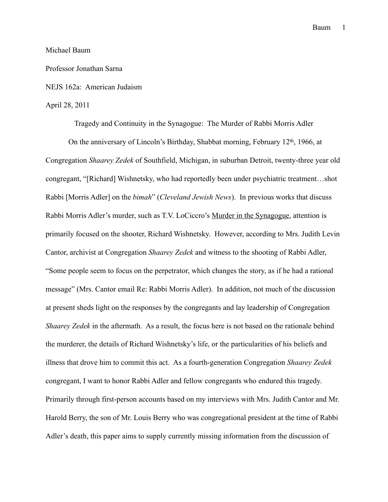## Michael Baum

### Professor Jonathan Sarna

# NEJS 162a: American Judaism

## April 28, 2011

Tragedy and Continuity in the Synagogue: The Murder of Rabbi Morris Adler On the anniversary of Lincoln's Birthday, Shabbat morning, February  $12<sup>th</sup>$ , 1966, at Congregation *Shaarey Zedek* of Southfield, Michigan, in suburban Detroit, twenty-three year old congregant, "[Richard] Wishnetsky, who had reportedly been under psychiatric treatment…shot Rabbi [Morris Adler] on the *bimah*" (*Cleveland Jewish News*). In previous works that discuss Rabbi Morris Adler's murder, such as T.V. LoCiccro's Murder in the Synagogue, attention is primarily focused on the shooter, Richard Wishnetsky. However, according to Mrs. Judith Levin Cantor, archivist at Congregation *Shaarey Zedek* and witness to the shooting of Rabbi Adler, "Some people seem to focus on the perpetrator, which changes the story, as if he had a rational message" (Mrs. Cantor email Re: Rabbi Morris Adler). In addition, not much of the discussion at present sheds light on the responses by the congregants and lay leadership of Congregation *Shaarey Zedek* in the aftermath. As a result, the focus here is not based on the rationale behind the murderer, the details of Richard Wishnetsky's life, or the particularities of his beliefs and illness that drove him to commit this act. As a fourth-generation Congregation *Shaarey Zedek* congregant, I want to honor Rabbi Adler and fellow congregants who endured this tragedy. Primarily through first-person accounts based on my interviews with Mrs. Judith Cantor and Mr. Harold Berry, the son of Mr. Louis Berry who was congregational president at the time of Rabbi Adler's death, this paper aims to supply currently missing information from the discussion of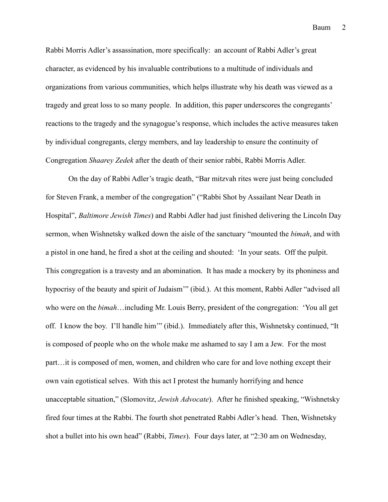Rabbi Morris Adler's assassination, more specifically: an account of Rabbi Adler's great character, as evidenced by his invaluable contributions to a multitude of individuals and organizations from various communities, which helps illustrate why his death was viewed as a tragedy and great loss to so many people. In addition, this paper underscores the congregants' reactions to the tragedy and the synagogue's response, which includes the active measures taken by individual congregants, clergy members, and lay leadership to ensure the continuity of Congregation *Shaarey Zedek* after the death of their senior rabbi, Rabbi Morris Adler.

On the day of Rabbi Adler's tragic death, "Bar mitzvah rites were just being concluded for Steven Frank, a member of the congregation" ("Rabbi Shot by Assailant Near Death in Hospital", *Baltimore Jewish Times*) and Rabbi Adler had just finished delivering the Lincoln Day sermon, when Wishnetsky walked down the aisle of the sanctuary "mounted the *bimah*, and with a pistol in one hand, he fired a shot at the ceiling and shouted: 'In your seats. Off the pulpit. This congregation is a travesty and an abomination. It has made a mockery by its phoniness and hypocrisy of the beauty and spirit of Judaism"" (ibid.). At this moment, Rabbi Adler "advised all who were on the *bimah*…including Mr. Louis Berry, president of the congregation: 'You all get off. I know the boy. I'll handle him'" (ibid.). Immediately after this, Wishnetsky continued, "It is composed of people who on the whole make me ashamed to say I am a Jew. For the most part…it is composed of men, women, and children who care for and love nothing except their own vain egotistical selves. With this act I protest the humanly horrifying and hence unacceptable situation," (Slomovitz, *Jewish Advocate*). After he finished speaking, "Wishnetsky fired four times at the Rabbi. The fourth shot penetrated Rabbi Adler's head. Then, Wishnetsky shot a bullet into his own head" (Rabbi, *Times*). Four days later, at "2:30 am on Wednesday,

2 Baum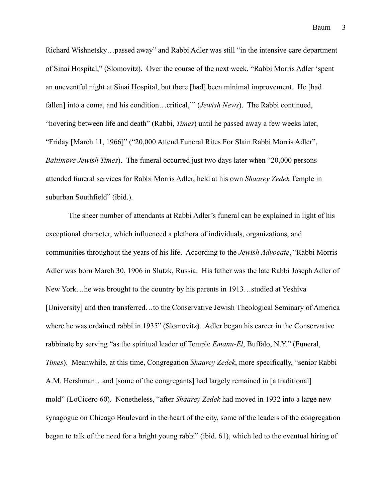Richard Wishnetsky…passed away" and Rabbi Adler was still "in the intensive care department of Sinai Hospital," (Slomovitz). Over the course of the next week, "Rabbi Morris Adler 'spent an uneventful night at Sinai Hospital, but there [had] been minimal improvement. He [had fallen] into a coma, and his condition…critical,'" (*Jewish News*). The Rabbi continued, "hovering between life and death" (Rabbi, *Times*) until he passed away a few weeks later, "Friday [March 11, 1966]" ("20,000 Attend Funeral Rites For Slain Rabbi Morris Adler", *Baltimore Jewish Times*). The funeral occurred just two days later when "20,000 persons attended funeral services for Rabbi Morris Adler, held at his own *Shaarey Zedek* Temple in suburban Southfield" (ibid.).

The sheer number of attendants at Rabbi Adler's funeral can be explained in light of his exceptional character, which influenced a plethora of individuals, organizations, and communities throughout the years of his life. According to the *Jewish Advocate*, "Rabbi Morris Adler was born March 30, 1906 in Slutzk, Russia. His father was the late Rabbi Joseph Adler of New York…he was brought to the country by his parents in 1913…studied at Yeshiva [University] and then transferred…to the Conservative Jewish Theological Seminary of America where he was ordained rabbi in 1935" (Slomovitz). Adler began his career in the Conservative rabbinate by serving "as the spiritual leader of Temple *Emanu-El*, Buffalo, N.Y." (Funeral, *Times*). Meanwhile, at this time, Congregation *Shaarey Zedek*, more specifically, "senior Rabbi A.M. Hershman…and [some of the congregants] had largely remained in [a traditional] mold" (LoCicero 60). Nonetheless, "after *Shaarey Zedek* had moved in 1932 into a large new synagogue on Chicago Boulevard in the heart of the city, some of the leaders of the congregation began to talk of the need for a bright young rabbi" (ibid. 61), which led to the eventual hiring of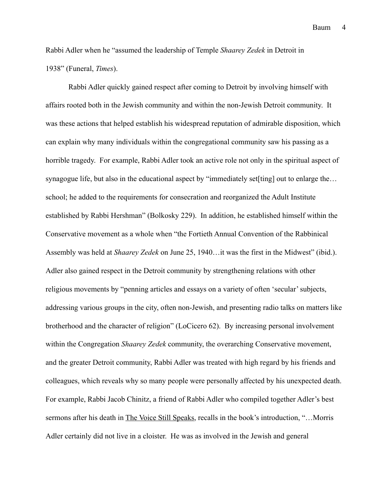Rabbi Adler when he "assumed the leadership of Temple *Shaarey Zedek* in Detroit in 1938" (Funeral, *Times*).

Rabbi Adler quickly gained respect after coming to Detroit by involving himself with affairs rooted both in the Jewish community and within the non-Jewish Detroit community. It was these actions that helped establish his widespread reputation of admirable disposition, which can explain why many individuals within the congregational community saw his passing as a horrible tragedy. For example, Rabbi Adler took an active role not only in the spiritual aspect of synagogue life, but also in the educational aspect by "immediately set [ting] out to enlarge the... school; he added to the requirements for consecration and reorganized the Adult Institute established by Rabbi Hershman" (Bolkosky 229). In addition, he established himself within the Conservative movement as a whole when "the Fortieth Annual Convention of the Rabbinical Assembly was held at *Shaarey Zedek* on June 25, 1940…it was the first in the Midwest" (ibid.). Adler also gained respect in the Detroit community by strengthening relations with other religious movements by "penning articles and essays on a variety of often 'secular' subjects, addressing various groups in the city, often non-Jewish, and presenting radio talks on matters like brotherhood and the character of religion" (LoCicero 62). By increasing personal involvement within the Congregation *Shaarey Zedek* community, the overarching Conservative movement, and the greater Detroit community, Rabbi Adler was treated with high regard by his friends and colleagues, which reveals why so many people were personally affected by his unexpected death. For example, Rabbi Jacob Chinitz, a friend of Rabbi Adler who compiled together Adler's best sermons after his death in The Voice Still Speaks, recalls in the book's introduction, "...Morris Adler certainly did not live in a cloister. He was as involved in the Jewish and general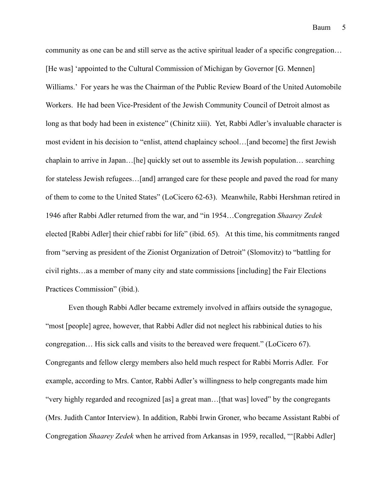community as one can be and still serve as the active spiritual leader of a specific congregation… [He was] 'appointed to the Cultural Commission of Michigan by Governor [G. Mennen] Williams.' For years he was the Chairman of the Public Review Board of the United Automobile Workers. He had been Vice-President of the Jewish Community Council of Detroit almost as long as that body had been in existence" (Chinitz xiii). Yet, Rabbi Adler's invaluable character is most evident in his decision to "enlist, attend chaplaincy school…[and become] the first Jewish chaplain to arrive in Japan…[he] quickly set out to assemble its Jewish population… searching for stateless Jewish refugees…[and] arranged care for these people and paved the road for many of them to come to the United States" (LoCicero 62-63). Meanwhile, Rabbi Hershman retired in 1946 after Rabbi Adler returned from the war, and "in 1954…Congregation *Shaarey Zedek* elected [Rabbi Adler] their chief rabbi for life" (ibid. 65). At this time, his commitments ranged from "serving as president of the Zionist Organization of Detroit" (Slomovitz) to "battling for civil rights…as a member of many city and state commissions [including] the Fair Elections Practices Commission" (ibid.).

Even though Rabbi Adler became extremely involved in affairs outside the synagogue, "most [people] agree, however, that Rabbi Adler did not neglect his rabbinical duties to his congregation… His sick calls and visits to the bereaved were frequent." (LoCicero 67). Congregants and fellow clergy members also held much respect for Rabbi Morris Adler. For example, according to Mrs. Cantor, Rabbi Adler's willingness to help congregants made him "very highly regarded and recognized [as] a great man…[that was] loved" by the congregants (Mrs. Judith Cantor Interview). In addition, Rabbi Irwin Groner, who became Assistant Rabbi of Congregation *Shaarey Zedek* when he arrived from Arkansas in 1959, recalled, "'[Rabbi Adler]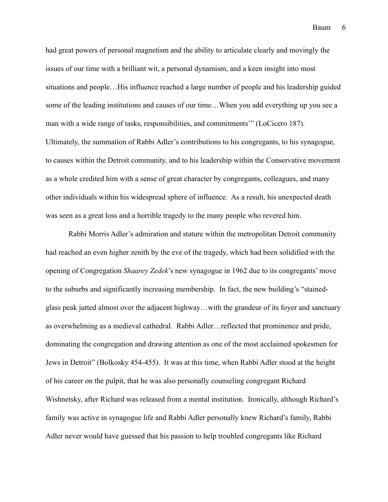had great powers of personal magnetism and the ability to articulate clearly and movingly the issues of our time with a brilliant wit, a personal dynamism, and a keen insight into most situations and people…His influence reached a large number of people and his leadership guided some of the leading institutions and causes of our time…When you add everything up you see a man with a wide range of tasks, responsibilities, and commitments'" (LoCicero 187). Ultimately, the summation of Rabbi Adler's contributions to his congregants, to his synagogue, to causes within the Detroit community, and to his leadership within the Conservative movement as a whole credited him with a sense of great character by congregants, colleagues, and many other individuals within his widespread sphere of influence. As a result, his unexpected death was seen as a great loss and a horrible tragedy to the many people who revered him.

 Rabbi Morris Adler's admiration and stature within the metropolitan Detroit community had reached an even higher zenith by the eve of the tragedy, which had been solidified with the opening of Congregation *Shaarey Zedek*'s new synagogue in 1962 due to its congregants' move to the suburbs and significantly increasing membership. In fact, the new building's "stainedglass peak jutted almost over the adjacent highway…with the grandeur of its foyer and sanctuary as overwhelming as a medieval cathedral. Rabbi Adler…reflected that prominence and pride, dominating the congregation and drawing attention as one of the most acclaimed spokesmen for Jews in Detroit" (Bolkosky 454-455). It was at this time, when Rabbi Adler stood at the height of his career on the pulpit, that he was also personally counseling congregant Richard Wishnetsky, after Richard was released from a mental institution. Ironically, although Richard's family was active in synagogue life and Rabbi Adler personally knew Richard's family, Rabbi Adler never would have guessed that his passion to help troubled congregants like Richard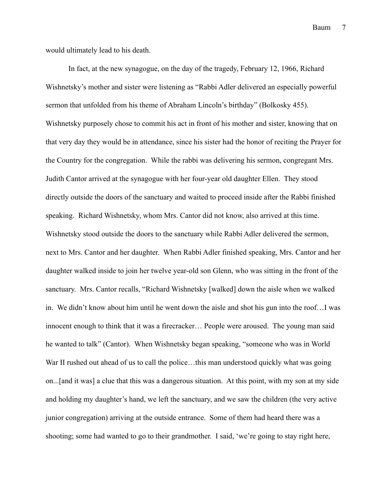would ultimately lead to his death.

In fact, at the new synagogue, on the day of the tragedy, February 12, 1966, Richard Wishnetsky's mother and sister were listening as "Rabbi Adler delivered an especially powerful sermon that unfolded from his theme of Abraham Lincoln's birthday" (Bolkosky 455). Wishnetsky purposely chose to commit his act in front of his mother and sister, knowing that on that very day they would be in attendance, since his sister had the honor of reciting the Prayer for the Country for the congregation. While the rabbi was delivering his sermon, congregant Mrs. Judith Cantor arrived at the synagogue with her four-year old daughter Ellen. They stood directly outside the doors of the sanctuary and waited to proceed inside after the Rabbi finished speaking. Richard Wishnetsky, whom Mrs. Cantor did not know, also arrived at this time. Wishnetsky stood outside the doors to the sanctuary while Rabbi Adler delivered the sermon, next to Mrs. Cantor and her daughter. When Rabbi Adler finished speaking, Mrs. Cantor and her daughter walked inside to join her twelve year-old son Glenn, who was sitting in the front of the sanctuary. Mrs. Cantor recalls, "Richard Wishnetsky [walked] down the aisle when we walked in. We didn't know about him until he went down the aisle and shot his gun into the roof…I was innocent enough to think that it was a firecracker… People were aroused. The young man said he wanted to talk" (Cantor). When Wishnetsky began speaking, "someone who was in World War II rushed out ahead of us to call the police...this man understood quickly what was going on...[and it was] a clue that this was a dangerous situation. At this point, with my son at my side and holding my daughter's hand, we left the sanctuary, and we saw the children (the very active junior congregation) arriving at the outside entrance. Some of them had heard there was a shooting; some had wanted to go to their grandmother. I said, 'we're going to stay right here,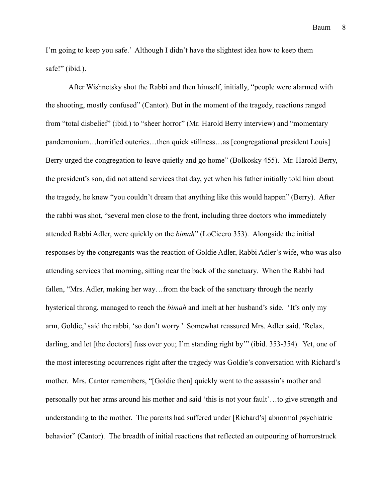I'm going to keep you safe.' Although I didn't have the slightest idea how to keep them safe!" (ibid.).

After Wishnetsky shot the Rabbi and then himself, initially, "people were alarmed with the shooting, mostly confused" (Cantor). But in the moment of the tragedy, reactions ranged from "total disbelief" (ibid.) to "sheer horror" (Mr. Harold Berry interview) and "momentary pandemonium…horrified outcries…then quick stillness…as [congregational president Louis] Berry urged the congregation to leave quietly and go home" (Bolkosky 455). Mr. Harold Berry, the president's son, did not attend services that day, yet when his father initially told him about the tragedy, he knew "you couldn't dream that anything like this would happen" (Berry). After the rabbi was shot, "several men close to the front, including three doctors who immediately attended Rabbi Adler, were quickly on the *bimah*" (LoCicero 353). Alongside the initial responses by the congregants was the reaction of Goldie Adler, Rabbi Adler's wife, who was also attending services that morning, sitting near the back of the sanctuary. When the Rabbi had fallen, "Mrs. Adler, making her way…from the back of the sanctuary through the nearly hysterical throng, managed to reach the *bimah* and knelt at her husband's side. 'It's only my arm, Goldie,' said the rabbi, 'so don't worry.' Somewhat reassured Mrs. Adler said, 'Relax, darling, and let [the doctors] fuss over you; I'm standing right by'" (ibid. 353-354). Yet, one of the most interesting occurrences right after the tragedy was Goldie's conversation with Richard's mother. Mrs. Cantor remembers, "[Goldie then] quickly went to the assassin's mother and personally put her arms around his mother and said 'this is not your fault'…to give strength and understanding to the mother. The parents had suffered under [Richard's] abnormal psychiatric behavior" (Cantor). The breadth of initial reactions that reflected an outpouring of horrorstruck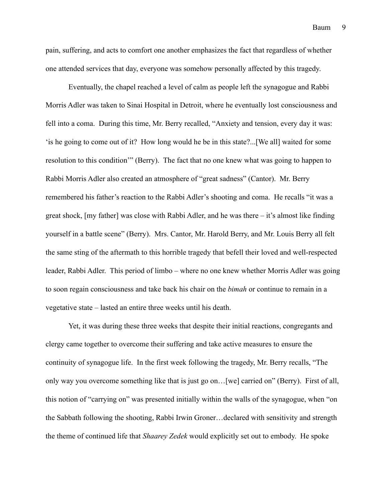pain, suffering, and acts to comfort one another emphasizes the fact that regardless of whether one attended services that day, everyone was somehow personally affected by this tragedy.

Eventually, the chapel reached a level of calm as people left the synagogue and Rabbi Morris Adler was taken to Sinai Hospital in Detroit, where he eventually lost consciousness and fell into a coma. During this time, Mr. Berry recalled, "Anxiety and tension, every day it was: 'is he going to come out of it? How long would he be in this state?...[We all] waited for some resolution to this condition'" (Berry). The fact that no one knew what was going to happen to Rabbi Morris Adler also created an atmosphere of "great sadness" (Cantor). Mr. Berry remembered his father's reaction to the Rabbi Adler's shooting and coma. He recalls "it was a great shock, [my father] was close with Rabbi Adler, and he was there – it's almost like finding yourself in a battle scene" (Berry). Mrs. Cantor, Mr. Harold Berry, and Mr. Louis Berry all felt the same sting of the aftermath to this horrible tragedy that befell their loved and well-respected leader, Rabbi Adler. This period of limbo – where no one knew whether Morris Adler was going to soon regain consciousness and take back his chair on the *bimah* or continue to remain in a vegetative state – lasted an entire three weeks until his death.

Yet, it was during these three weeks that despite their initial reactions, congregants and clergy came together to overcome their suffering and take active measures to ensure the continuity of synagogue life. In the first week following the tragedy, Mr. Berry recalls, "The only way you overcome something like that is just go on…[we] carried on" (Berry). First of all, this notion of "carrying on" was presented initially within the walls of the synagogue, when "on the Sabbath following the shooting, Rabbi Irwin Groner…declared with sensitivity and strength the theme of continued life that *Shaarey Zedek* would explicitly set out to embody. He spoke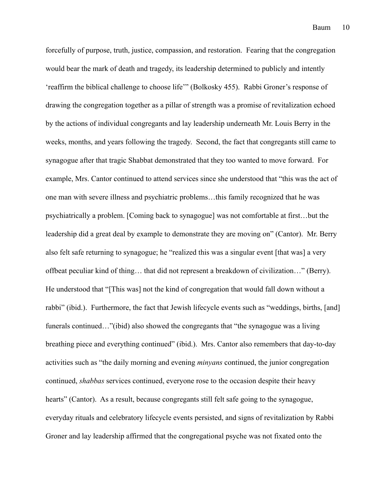forcefully of purpose, truth, justice, compassion, and restoration. Fearing that the congregation would bear the mark of death and tragedy, its leadership determined to publicly and intently 'reaffirm the biblical challenge to choose life'" (Bolkosky 455). Rabbi Groner's response of drawing the congregation together as a pillar of strength was a promise of revitalization echoed by the actions of individual congregants and lay leadership underneath Mr. Louis Berry in the weeks, months, and years following the tragedy. Second, the fact that congregants still came to synagogue after that tragic Shabbat demonstrated that they too wanted to move forward. For example, Mrs. Cantor continued to attend services since she understood that "this was the act of one man with severe illness and psychiatric problems…this family recognized that he was psychiatrically a problem. [Coming back to synagogue] was not comfortable at first…but the leadership did a great deal by example to demonstrate they are moving on" (Cantor). Mr. Berry also felt safe returning to synagogue; he "realized this was a singular event [that was] a very offbeat peculiar kind of thing… that did not represent a breakdown of civilization…" (Berry). He understood that "[This was] not the kind of congregation that would fall down without a rabbi" (ibid.). Furthermore, the fact that Jewish lifecycle events such as "weddings, births, [and] funerals continued…"(ibid) also showed the congregants that "the synagogue was a living breathing piece and everything continued" (ibid.). Mrs. Cantor also remembers that day-to-day activities such as "the daily morning and evening *minyans* continued, the junior congregation continued, *shabbas* services continued, everyone rose to the occasion despite their heavy hearts" (Cantor). As a result, because congregants still felt safe going to the synagogue, everyday rituals and celebratory lifecycle events persisted, and signs of revitalization by Rabbi Groner and lay leadership affirmed that the congregational psyche was not fixated onto the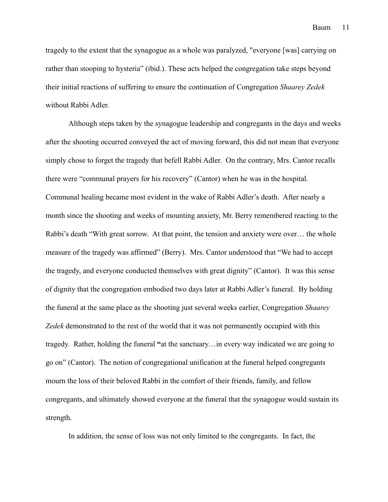tragedy to the extent that the synagogue as a whole was paralyzed, "everyone [was] carrying on rather than stooping to hysteria" (ibid.). These acts helped the congregation take steps beyond their initial reactions of suffering to ensure the continuation of Congregation *Shaarey Zedek* without Rabbi Adler.

Although steps taken by the synagogue leadership and congregants in the days and weeks after the shooting occurred conveyed the act of moving forward, this did not mean that everyone simply chose to forget the tragedy that befell Rabbi Adler. On the contrary, Mrs. Cantor recalls there were "communal prayers for his recovery" (Cantor) when he was in the hospital. Communal healing became most evident in the wake of Rabbi Adler's death. After nearly a month since the shooting and weeks of mounting anxiety, Mr. Berry remembered reacting to the Rabbi's death "With great sorrow. At that point, the tension and anxiety were over… the whole measure of the tragedy was affirmed" (Berry). Mrs. Cantor understood that "We had to accept the tragedy, and everyone conducted themselves with great dignity" (Cantor). It was this sense of dignity that the congregation embodied two days later at Rabbi Adler's funeral. By holding the funeral at the same place as the shooting just several weeks earlier, Congregation *Shaarey Zedek* demonstrated to the rest of the world that it was not permanently occupied with this tragedy. Rather, holding the funeral **"**at the sanctuary…in every way indicated we are going to go on" (Cantor). The notion of congregational unification at the funeral helped congregants mourn the loss of their beloved Rabbi in the comfort of their friends, family, and fellow congregants, and ultimately showed everyone at the funeral that the synagogue would sustain its strength.

In addition, the sense of loss was not only limited to the congregants. In fact, the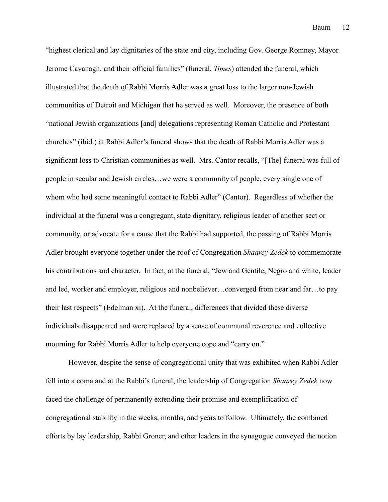"highest clerical and lay dignitaries of the state and city, including Gov. George Romney, Mayor Jerome Cavanagh, and their official families" (funeral, *Times*) attended the funeral, which illustrated that the death of Rabbi Morris Adler was a great loss to the larger non-Jewish communities of Detroit and Michigan that he served as well. Moreover, the presence of both "national Jewish organizations [and] delegations representing Roman Catholic and Protestant churches" (ibid.) at Rabbi Adler's funeral shows that the death of Rabbi Morris Adler was a significant loss to Christian communities as well. Mrs. Cantor recalls, "[The] funeral was full of people in secular and Jewish circles…we were a community of people, every single one of whom who had some meaningful contact to Rabbi Adler" (Cantor). Regardless of whether the individual at the funeral was a congregant, state dignitary, religious leader of another sect or community, or advocate for a cause that the Rabbi had supported, the passing of Rabbi Morris Adler brought everyone together under the roof of Congregation *Shaarey Zedek* to commemorate his contributions and character. In fact, at the funeral, "Jew and Gentile, Negro and white, leader and led, worker and employer, religious and nonbeliever…converged from near and far…to pay their last respects" (Edelman xi). At the funeral, differences that divided these diverse individuals disappeared and were replaced by a sense of communal reverence and collective mourning for Rabbi Morris Adler to help everyone cope and "carry on."

However, despite the sense of congregational unity that was exhibited when Rabbi Adler fell into a coma and at the Rabbi's funeral, the leadership of Congregation *Shaarey Zedek* now faced the challenge of permanently extending their promise and exemplification of congregational stability in the weeks, months, and years to follow. Ultimately, the combined efforts by lay leadership, Rabbi Groner, and other leaders in the synagogue conveyed the notion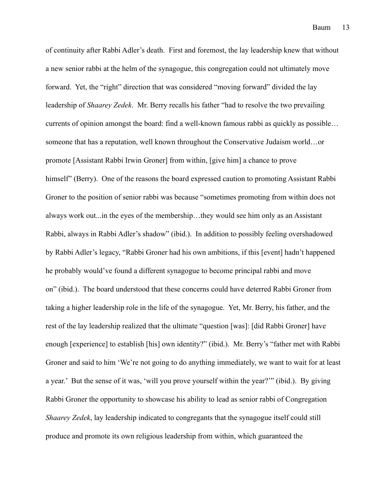of continuity after Rabbi Adler's death. First and foremost, the lay leadership knew that without a new senior rabbi at the helm of the synagogue, this congregation could not ultimately move forward. Yet, the "right" direction that was considered "moving forward" divided the lay leadership of *Shaarey Zedek*. Mr. Berry recalls his father "had to resolve the two prevailing currents of opinion amongst the board: find a well-known famous rabbi as quickly as possible… someone that has a reputation, well known throughout the Conservative Judaism world…or promote [Assistant Rabbi Irwin Groner] from within, [give him] a chance to prove himself" (Berry). One of the reasons the board expressed caution to promoting Assistant Rabbi Groner to the position of senior rabbi was because "sometimes promoting from within does not always work out...in the eyes of the membership…they would see him only as an Assistant Rabbi, always in Rabbi Adler's shadow" (ibid.). In addition to possibly feeling overshadowed by Rabbi Adler's legacy, "Rabbi Groner had his own ambitions, if this [event] hadn't happened he probably would've found a different synagogue to become principal rabbi and move on" (ibid.). The board understood that these concerns could have deterred Rabbi Groner from taking a higher leadership role in the life of the synagogue. Yet, Mr. Berry, his father, and the rest of the lay leadership realized that the ultimate "question [was]: [did Rabbi Groner] have enough [experience] to establish [his] own identity?" (ibid.). Mr. Berry's "father met with Rabbi Groner and said to him 'We're not going to do anything immediately, we want to wait for at least a year.' But the sense of it was, 'will you prove yourself within the year?'" (ibid.). By giving Rabbi Groner the opportunity to showcase his ability to lead as senior rabbi of Congregation *Shaarey Zedek*, lay leadership indicated to congregants that the synagogue itself could still produce and promote its own religious leadership from within, which guaranteed the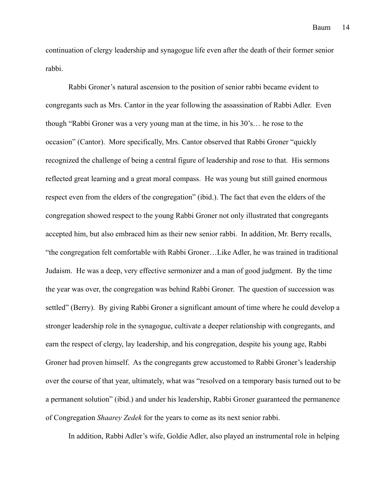continuation of clergy leadership and synagogue life even after the death of their former senior rabbi.

Rabbi Groner's natural ascension to the position of senior rabbi became evident to congregants such as Mrs. Cantor in the year following the assassination of Rabbi Adler. Even though "Rabbi Groner was a very young man at the time, in his 30's… he rose to the occasion" (Cantor). More specifically, Mrs. Cantor observed that Rabbi Groner "quickly recognized the challenge of being a central figure of leadership and rose to that. His sermons reflected great learning and a great moral compass. He was young but still gained enormous respect even from the elders of the congregation" (ibid.). The fact that even the elders of the congregation showed respect to the young Rabbi Groner not only illustrated that congregants accepted him, but also embraced him as their new senior rabbi. In addition, Mr. Berry recalls, "the congregation felt comfortable with Rabbi Groner…Like Adler, he was trained in traditional Judaism. He was a deep, very effective sermonizer and a man of good judgment. By the time the year was over, the congregation was behind Rabbi Groner. The question of succession was settled" (Berry). By giving Rabbi Groner a significant amount of time where he could develop a stronger leadership role in the synagogue, cultivate a deeper relationship with congregants, and earn the respect of clergy, lay leadership, and his congregation, despite his young age, Rabbi Groner had proven himself. As the congregants grew accustomed to Rabbi Groner's leadership over the course of that year, ultimately, what was "resolved on a temporary basis turned out to be a permanent solution" (ibid.) and under his leadership, Rabbi Groner guaranteed the permanence of Congregation *Shaarey Zedek* for the years to come as its next senior rabbi.

In addition, Rabbi Adler's wife, Goldie Adler, also played an instrumental role in helping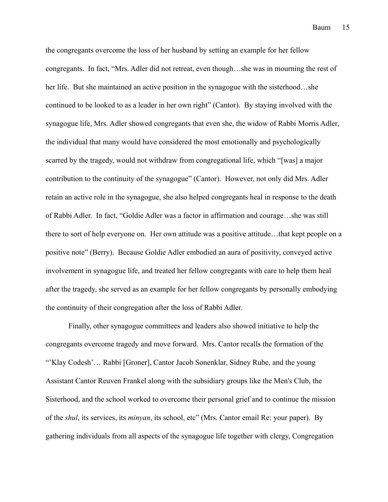the congregants overcome the loss of her husband by setting an example for her fellow congregants. In fact, "Mrs. Adler did not retreat, even though…she was in mourning the rest of her life. But she maintained an active position in the synagogue with the sisterhood...she continued to be looked to as a leader in her own right" (Cantor). By staying involved with the synagogue life, Mrs. Adler showed congregants that even she, the widow of Rabbi Morris Adler, the individual that many would have considered the most emotionally and psychologically scarred by the tragedy, would not withdraw from congregational life, which "[was] a major contribution to the continuity of the synagogue" (Cantor). However, not only did Mrs. Adler retain an active role in the synagogue, she also helped congregants heal in response to the death of Rabbi Adler. In fact, "Goldie Adler was a factor in affirmation and courage…she was still there to sort of help everyone on. Her own attitude was a positive attitude…that kept people on a positive note" (Berry). Because Goldie Adler embodied an aura of positivity, conveyed active involvement in synagogue life, and treated her fellow congregants with care to help them heal after the tragedy, she served as an example for her fellow congregants by personally embodying the continuity of their congregation after the loss of Rabbi Adler.

Finally, other synagogue committees and leaders also showed initiative to help the congregants overcome tragedy and move forward. Mrs. Cantor recalls the formation of the "'Klay Codesh'… Rabbi [Groner], Cantor Jacob Sonenklar, Sidney Rube, and the young Assistant Cantor Reuven Frankel along with the subsidiary groups like the Men's Club, the Sisterhood, and the school worked to overcome their personal grief and to continue the mission of the *shul*, its services, its *minyan*, its school, etc" (Mrs. Cantor email Re: your paper). By gathering individuals from all aspects of the synagogue life together with clergy, Congregation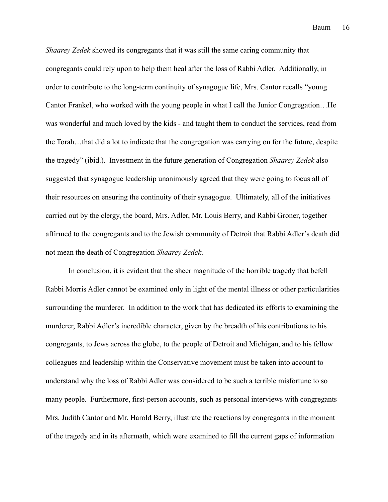*Shaarey Zedek* showed its congregants that it was still the same caring community that congregants could rely upon to help them heal after the loss of Rabbi Adler. Additionally, in order to contribute to the long-term continuity of synagogue life, Mrs. Cantor recalls "young Cantor Frankel, who worked with the young people in what I call the Junior Congregation…He was wonderful and much loved by the kids - and taught them to conduct the services, read from the Torah…that did a lot to indicate that the congregation was carrying on for the future, despite the tragedy" (ibid.). Investment in the future generation of Congregation *Shaarey Zedek* also suggested that synagogue leadership unanimously agreed that they were going to focus all of their resources on ensuring the continuity of their synagogue. Ultimately, all of the initiatives carried out by the clergy, the board, Mrs. Adler, Mr. Louis Berry, and Rabbi Groner, together affirmed to the congregants and to the Jewish community of Detroit that Rabbi Adler's death did not mean the death of Congregation *Shaarey Zedek*.

 In conclusion, it is evident that the sheer magnitude of the horrible tragedy that befell Rabbi Morris Adler cannot be examined only in light of the mental illness or other particularities surrounding the murderer. In addition to the work that has dedicated its efforts to examining the murderer, Rabbi Adler's incredible character, given by the breadth of his contributions to his congregants, to Jews across the globe, to the people of Detroit and Michigan, and to his fellow colleagues and leadership within the Conservative movement must be taken into account to understand why the loss of Rabbi Adler was considered to be such a terrible misfortune to so many people. Furthermore, first-person accounts, such as personal interviews with congregants Mrs. Judith Cantor and Mr. Harold Berry, illustrate the reactions by congregants in the moment of the tragedy and in its aftermath, which were examined to fill the current gaps of information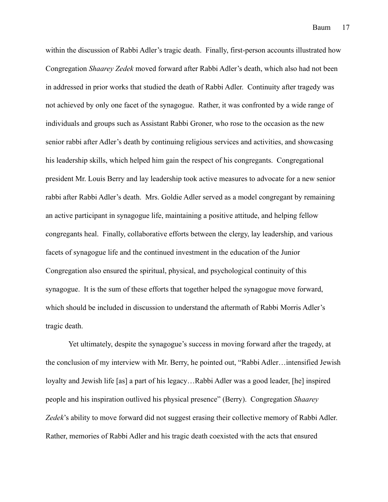within the discussion of Rabbi Adler's tragic death. Finally, first-person accounts illustrated how Congregation *Shaarey Zedek* moved forward after Rabbi Adler's death, which also had not been in addressed in prior works that studied the death of Rabbi Adler. Continuity after tragedy was not achieved by only one facet of the synagogue. Rather, it was confronted by a wide range of individuals and groups such as Assistant Rabbi Groner, who rose to the occasion as the new senior rabbi after Adler's death by continuing religious services and activities, and showcasing his leadership skills, which helped him gain the respect of his congregants. Congregational president Mr. Louis Berry and lay leadership took active measures to advocate for a new senior rabbi after Rabbi Adler's death. Mrs. Goldie Adler served as a model congregant by remaining an active participant in synagogue life, maintaining a positive attitude, and helping fellow congregants heal. Finally, collaborative efforts between the clergy, lay leadership, and various facets of synagogue life and the continued investment in the education of the Junior Congregation also ensured the spiritual, physical, and psychological continuity of this synagogue. It is the sum of these efforts that together helped the synagogue move forward, which should be included in discussion to understand the aftermath of Rabbi Morris Adler's tragic death.

Yet ultimately, despite the synagogue's success in moving forward after the tragedy, at the conclusion of my interview with Mr. Berry, he pointed out, "Rabbi Adler…intensified Jewish loyalty and Jewish life [as] a part of his legacy…Rabbi Adler was a good leader, [he] inspired people and his inspiration outlived his physical presence" (Berry). Congregation *Shaarey Zedek*'s ability to move forward did not suggest erasing their collective memory of Rabbi Adler. Rather, memories of Rabbi Adler and his tragic death coexisted with the acts that ensured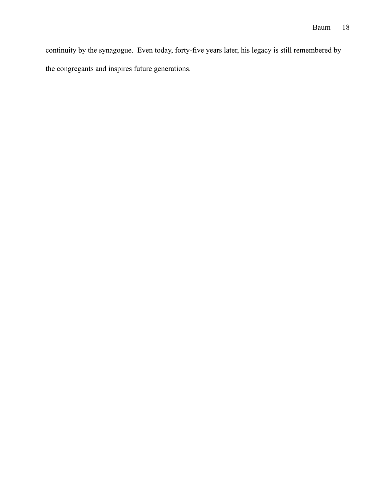continuity by the synagogue. Even today, forty-five years later, his legacy is still remembered by the congregants and inspires future generations.